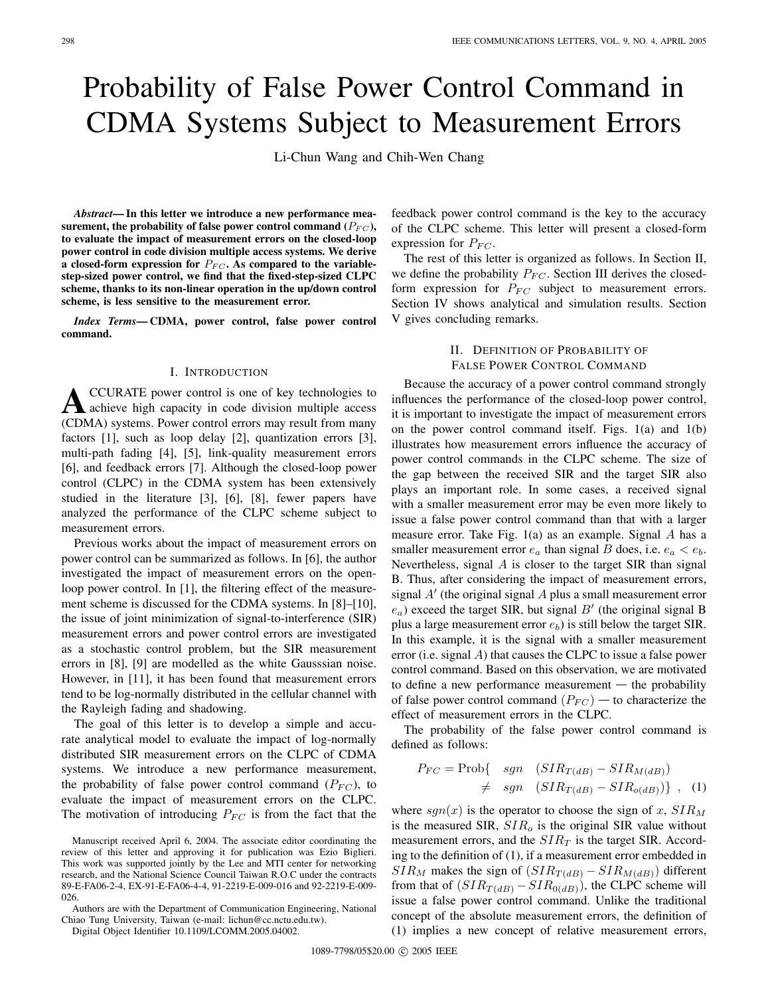# Probability of False Power Control Command in CDMA Systems Subject to Measurement Errors

Li-Chun Wang and Chih-Wen Chang

*Abstract***— In this letter we introduce a new performance mea**surement, the probability of false power control command ( $P_{FC}$ ), **to evaluate the impact of measurement errors on the closed-loop power control in code division multiple access systems. We derive** a closed-form expression for  $P_{FC}$ . As compared to the variable**step-sized power control, we find that the fixed-step-sized CLPC scheme, thanks to its non-linear operation in the up/down control scheme, is less sensitive to the measurement error.**

*Index Terms***— CDMA, power control, false power control command.**

### I. INTRODUCTION

**A**CCURATE power control is one of key technologies to achieve high capacity in code division multiple access (CDMA) systems. Power control errors may result from many factors [1], such as loop delay [2], quantization errors [3], multi-path fading [4], [5], link-quality measurement errors [6], and feedback errors [7]. Although the closed-loop power control (CLPC) in the CDMA system has been extensively studied in the literature [3], [6], [8], fewer papers have analyzed the performance of the CLPC scheme subject to measurement errors.

Previous works about the impact of measurement errors on power control can be summarized as follows. In [6], the author investigated the impact of measurement errors on the openloop power control. In [1], the filtering effect of the measurement scheme is discussed for the CDMA systems. In [8]–[10], the issue of joint minimization of signal-to-interference (SIR) measurement errors and power control errors are investigated as a stochastic control problem, but the SIR measurement errors in [8], [9] are modelled as the white Gausssian noise. However, in [11], it has been found that measurement errors tend to be log-normally distributed in the cellular channel with the Rayleigh fading and shadowing.

The goal of this letter is to develop a simple and accurate analytical model to evaluate the impact of log-normally distributed SIR measurement errors on the CLPC of CDMA systems. We introduce a new performance measurement, the probability of false power control command  $(P_{FC})$ , to evaluate the impact of measurement errors on the CLPC. The motivation of introducing  $P_{FC}$  is from the fact that the

Authors are with the Department of Communication Engineering, National Chiao Tung University, Taiwan (e-mail: lichun@cc.nctu.edu.tw).

Digital Object Identifier 10.1109/LCOMM.2005.04002.

feedback power control command is the key to the accuracy of the CLPC scheme. This letter will present a closed-form expression for  $P_{FC}$ .

The rest of this letter is organized as follows. In Section II, we define the probability  $P_{FC}$ . Section III derives the closedform expression for  $P_{FC}$  subject to measurement errors. Section IV shows analytical and simulation results. Section V gives concluding remarks.

> II. DEFINITION OF PROBABILITY OF FALSE POWER CONTROL COMMAND

Because the accuracy of a power control command strongly influences the performance of the closed-loop power control, it is important to investigate the impact of measurement errors on the power control command itself. Figs. 1(a) and 1(b) illustrates how measurement errors influence the accuracy of power control commands in the CLPC scheme. The size of the gap between the received SIR and the target SIR also plays an important role. In some cases, a received signal with a smaller measurement error may be even more likely to issue a false power control command than that with a larger measure error. Take Fig. 1(a) as an example. Signal A has a smaller measurement error  $e_a$  than signal B does, i.e.  $e_a < e_b$ . Nevertheless, signal  $A$  is closer to the target SIR than signal B. Thus, after considering the impact of measurement errors, signal  $A'$  (the original signal  $A$  plus a small measurement error  $e_a$ ) exceed the target SIR, but signal B' (the original signal B plus a large measurement error  $e_b$ ) is still below the target SIR. In this example, it is the signal with a smaller measurement error (i.e. signal A) that causes the CLPC to issue a false power control command. Based on this observation, we are motivated to define a new performance measurement  $-$  the probability of false power control command  $(P_{FC})$  – to characterize the effect of measurement errors in the CLPC.

The probability of the false power control command is defined as follows:

$$
P_{FC} = \text{Prob}\{ \text{sgn} \quad (SIR_{T(dB)} - SIR_{M(dB)})
$$
  

$$
\neq \text{sgn} \quad (SIR_{T(dB)} - SIR_{o(dB)}) \}, \quad (1)
$$

where  $sgn(x)$  is the operator to choose the sign of x,  $SIR_M$ is the measured SIR,  $SIR<sub>o</sub>$  is the original SIR value without measurement errors, and the  $SIR<sub>T</sub>$  is the target SIR. According to the definition of (1), if a measurement error embedded in  $SIR_M$  makes the sign of  $(SIR_{T(dB)} - SIR_{M(dB)})$  different from that of  $(SIR_{T(dB)} - SIR_{0(dB)})$ , the CLPC scheme will issue a false power control command. Unlike the traditional concept of the absolute measurement errors, the definition of (1) implies a new concept of relative measurement errors,

Manuscript received April 6, 2004. The associate editor coordinating the review of this letter and approving it for publication was Ezio Biglieri. This work was supported jointly by the Lee and MTI center for networking research, and the National Science Council Taiwan R.O.C under the contracts 89-E-FA06-2-4, EX-91-E-FA06-4-4, 91-2219-E-009-016 and 92-2219-E-009- 026.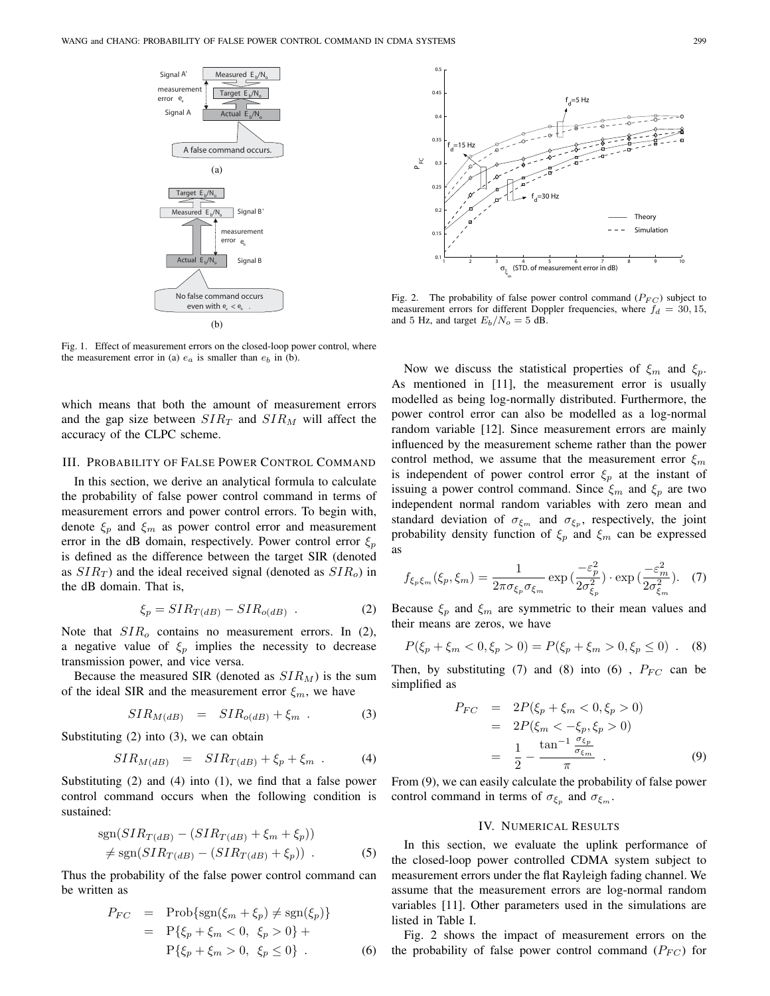

Fig. 1. Effect of measurement errors on the closed-loop power control, where the measurement error in (a)  $e_a$  is smaller than  $e_b$  in (b).

which means that both the amount of measurement errors and the gap size between  $SIR_T$  and  $SIR_M$  will affect the accuracy of the CLPC scheme.

## III. PROBABILITY OF FALSE POWER CONTROL COMMAND

In this section, we derive an analytical formula to calculate the probability of false power control command in terms of measurement errors and power control errors. To begin with, denote  $\xi_p$  and  $\xi_m$  as power control error and measurement error in the dB domain, respectively. Power control error  $\xi_p$ is defined as the difference between the target SIR (denoted as  $SIR_T$ ) and the ideal received signal (denoted as  $SIR_o$ ) in the dB domain. That is,

$$
\xi_p = SIR_{T(dB)} - SIR_{o(dB)} . \tag{2}
$$

Note that  $SIR<sub>o</sub>$  contains no measurement errors. In (2), a negative value of  $\xi_p$  implies the necessity to decrease transmission power, and vice versa.

Because the measured SIR (denoted as  $SIR_M$ ) is the sum of the ideal SIR and the measurement error  $\xi_m$ , we have

$$
SIR_{M(dB)} = SIR_{o(dB)} + \xi_m . \tag{3}
$$

Substituting (2) into (3), we can obtain

$$
SIR_{M(dB)} = SIR_{T(dB)} + \xi_p + \xi_m . \tag{4}
$$

Substituting (2) and (4) into (1), we find that a false power control command occurs when the following condition is sustained:

$$
sgn(SIR_{T(dB)} - (SIR_{T(dB)} + \xi_m + \xi_p))
$$
  

$$
\neq sgn(SIR_{T(dB)} - (SIR_{T(dB)} + \xi_p)).
$$
 (5)

Thus the probability of the false power control command can be written as

$$
P_{FC} = \text{Prob}\{\text{sgn}(\xi_m + \xi_p) \neq \text{sgn}(\xi_p)\}
$$
  
=  $P\{\xi_p + \xi_m < 0, \xi_p > 0\} +$   
 $P\{\xi_p + \xi_m > 0, \xi_p \leq 0\}$ . (6)



Fig. 2. The probability of false power control command  $(P_{FC})$  subject to measurement errors for different Doppler frequencies, where  $f_d = 30, 15$ , and 5 Hz, and target  $E_b/N_o = 5$  dB.

Now we discuss the statistical properties of  $\xi_m$  and  $\xi_p$ . As mentioned in [11], the measurement error is usually modelled as being log-normally distributed. Furthermore, the power control error can also be modelled as a log-normal random variable [12]. Since measurement errors are mainly influenced by the measurement scheme rather than the power control method, we assume that the measurement error  $\xi_m$ is independent of power control error  $\xi_p$  at the instant of issuing a power control command. Since  $\xi_m$  and  $\xi_p$  are two independent normal random variables with zero mean and standard deviation of  $\sigma_{\xi_m}$  and  $\sigma_{\xi_n}$ , respectively, the joint probability density function of  $\xi_p$  and  $\xi_m$  can be expressed as

$$
f_{\xi_p\xi_m}(\xi_p, \xi_m) = \frac{1}{2\pi\sigma_{\xi_p}\sigma_{\xi_m}} \exp\left(\frac{-\varepsilon_p^2}{2\sigma_{\xi_p}^2}\right) \cdot \exp\left(\frac{-\varepsilon_m^2}{2\sigma_{\xi_m}^2}\right). \tag{7}
$$

Because  $\xi_p$  and  $\xi_m$  are symmetric to their mean values and their means are zeros, we have

$$
P(\xi_p + \xi_m < 0, \xi_p > 0) = P(\xi_p + \xi_m > 0, \xi_p \le 0) \quad . \quad (8)
$$

Then, by substituting (7) and (8) into (6),  $P_{FC}$  can be simplified as

$$
P_{FC} = 2P(\xi_p + \xi_m < 0, \xi_p > 0)
$$
\n
$$
= 2P(\xi_m < -\xi_p, \xi_p > 0)
$$
\n
$$
= \frac{1}{2} - \frac{\tan^{-1} \frac{\sigma_{\xi_p}}{\sigma_{\xi_m}}}{\pi} \quad . \tag{9}
$$
\nFrom (9), we can easily calculate the probability of false power

control command in terms of  $\sigma_{\xi_p}$  and  $\sigma_{\xi_m}$ .

#### IV. NUMERICAL RESULTS

In this section, we evaluate the uplink performance of the closed-loop power controlled CDMA system subject to measurement errors under the flat Rayleigh fading channel. We assume that the measurement errors are log-normal random variables [11]. Other parameters used in the simulations are listed in Table I.

Fig. 2 shows the impact of measurement errors on the the probability of false power control command  $(P_{FC})$  for